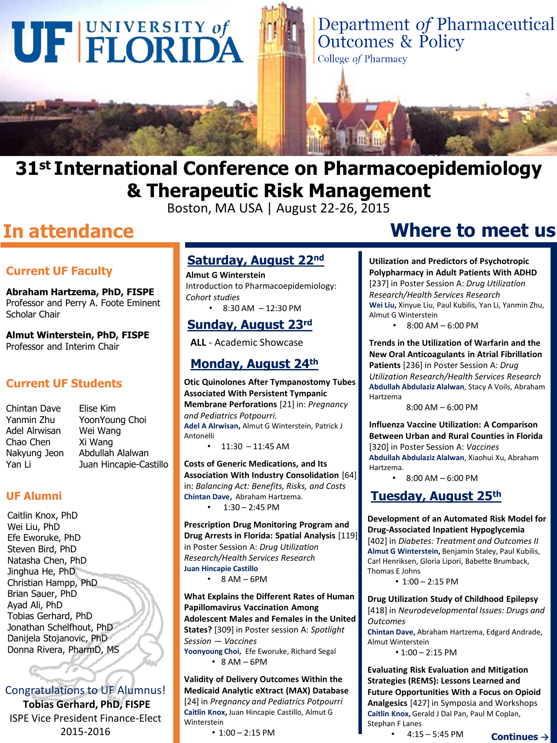

### **31st International Conference on Pharmacoepidemiology & Therapeutic Risk Management**

Boston, MA USA | August 22-26, 2015

### **In attendance**

### **Current UF Faculty**

**Abraham Hartzema, PhD, FISPE**  Professor and Perry A. Foote Eminent Scholar Chair

**Almut Winterstein, PhD, FISPE**  Professor and Interim Chair

### **Current UF Students**

Chintan Dave Yanmin Zhu Adel Alrwisan Chao Chen Nakyung Jeon Yan Li

Elise Kim YoonYoung Choi Wei Wang Xi Wang Abdullah Alalwan Juan Hincapie-Castillo

#### **UF Alumni**

Caitlin Knox, PhD Wei Liu, PhD Efe Eworuke, PhD Steven Bird, PhD Natasha Chen, PhD Jinghua He, PhD Christian Hampp, PhD Brian Sauer, PhD Ayad Ali, PhD Tobias Gerhard, PhD Jonathan Schelfhout, PhD Danijela Stojanovic, PhD Donna Rivera, PharmD, MS

Congratulations to UF Alumnus! **Tobias Gerhard, PhD, FISPE** ISPE Vice President Finance-Elect 2015-2016 **Continues →** 1:00 – 2:15 PM **Decision Properties Association Continues →** 

### **Saturday, August 22nd**

**Almut G Winterstein** Introduction to Pharmacoepidemiology: *Cohort studies*  $\cdot$  8:30 AM - 12:30 PM

### **Sunday, August 23rd**

**ALL** - Academic Showcase

### **Monday, August 24th**

**Otic Quinolones After Tympanostomy Tubes Associated With Persistent Tympanic Membrane Perforations** [21] in: *Pregnancy and Pediatrics Potpourri.*  **Adel A Alrwisan,** Almut G Winterstein, Patrick J Antonelli •  $11:30 - 11:45$  AM

**Costs of Generic Medications, and Its Association With Industry Consolidation** [64] in: *Balancing Act: Benefits, Risks, and Costs* **Chintan Dave,** Abraham Hartzema.  $1:30 - 2:45$  PM

**Prescription Drug Monitoring Program and Drug Arrests in Florida: Spatial Analysis** [119] in Poster Session A: *Drug Utilization Research/Health Services Research* **Juan Hincapie Castillo**

 $\cdot$  8 AM – 6PM

**What Explains the Different Rates of Human Papillomavirus Vaccination Among Adolescent Males and Females in the United States?** [309] in Poster session A: *Spotlight Session — Vaccines* **Yoonyoung Choi,** Efe Eworuke, Richard Segal  $• 8 AM - 6PM$ 

**Validity of Delivery Outcomes Within the Medicaid Analytic eXtract (MAX) Database**  [24] in *Pregnancy and Pediatrics Potpourri*  **Caitlin Knox,** Juan Hincapie Castillo, Almut G Winterstein

• 1:00 – 2:15 PM

### **Where to meet us**

**Utilization and Predictors of Psychotropic Polypharmacy in Adult Patients With ADHD**  [237] in Poster Session A: *Drug Utilization Research/Health Services Research* **Wei Liu,** Xinyue Liu, Paul Kubilis, Yan Li, Yanmin Zhu, Almut G Winterstein

•  $8:00$  AM – 6:00 PM

**Trends in the Utilization of Warfarin and the New Oral Anticoagulants in Atrial Fibrillation Patients** [236] in Poster Session A: *Drug Utilization Research/Health Services Research* **Abdullah Abdulaziz Alalwan**, Stacy A Voils, Abraham Hartzema

8:00 AM – 6:00 PM

**Influenza Vaccine Utilization: A Comparison Between Urban and Rural Counties in Florida**  [320] in Poster Session A: *Vaccines*

**Abdullah Abdulaziz Alalwan**, Xiaohui Xu, Abraham Hartzema.

• 8:00 AM – 6:00 PM

### **Tuesday, August 25th**

**Development of an Automated Risk Model for Drug-Associated Inpatient Hypoglycemia** 

[402] in *Diabetes: Treatment and Outcomes II*  **Almut G Winterstein,** Benjamin Staley, Paul Kubilis, Carl Henriksen, Gloria Lipori, Babette Brumback, Thomas E Johns

• 1:00 – 2:15 PM

**Drug Utilization Study of Childhood Epilepsy**  [418] in *Neurodevelopmental Issues: Drugs and Outcomes* 

**Chintan Dave,** Abraham Hartzema, Edgard Andrade, Almut Winterstein

• 1:00 – 2:15 PM

#### **Evaluating Risk Evaluation and Mitigation Strategies (REMS): Lessons Learned and Future Opportunities With a Focus on Opioid**

**Analgesics** [427] in Symposia and Workshops **Caitlin Knox,** Gerald J Dal Pan, Paul M Coplan, Stephan F Lanes

•  $4:15 - 5:45$  PM